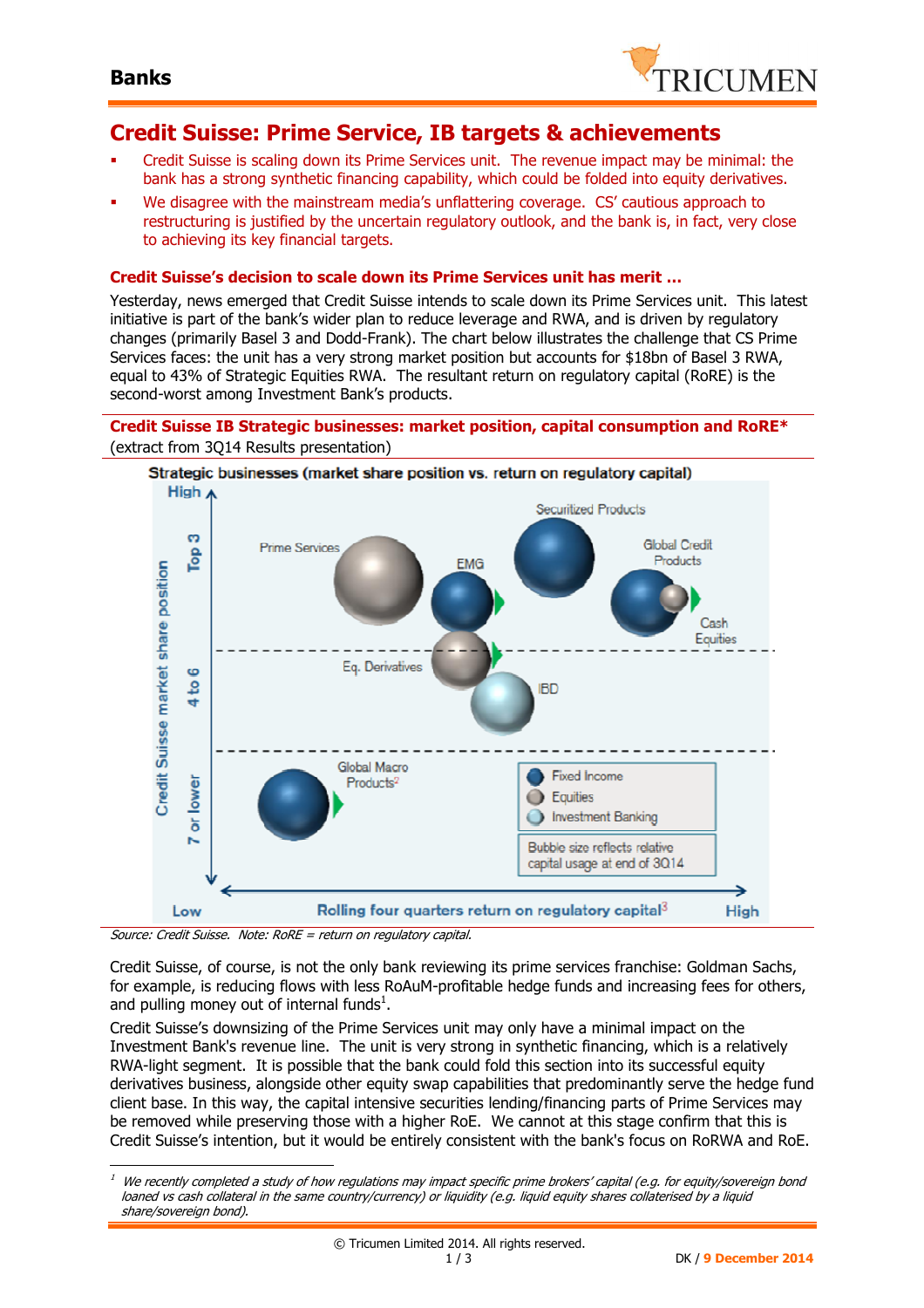

### **Credit Suisse: Prime Service, IB targets & achievements**

- Credit Suisse is scaling down its Prime Services unit. The revenue impact may be minimal: the bank has a strong synthetic financing capability, which could be folded into equity derivatives.
- We disagree with the mainstream media's unflattering coverage. CS' cautious approach to restructuring is justified by the uncertain regulatory outlook, and the bank is, in fact, very close to achieving its key financial targets.

#### **Credit Suisse's decision to scale down its Prime Services unit has merit …**

Yesterday, news emerged that Credit Suisse intends to scale down its Prime Services unit. This latest initiative is part of the bank's wider plan to reduce leverage and RWA, and is driven by regulatory changes (primarily Basel 3 and Dodd-Frank). The chart below illustrates the challenge that CS Prime Services faces: the unit has a very strong market position but accounts for \$18bn of Basel 3 RWA, equal to 43% of Strategic Equities RWA. The resultant return on regulatory capital (RoRE) is the second-worst among Investment Bank's products.

#### **Credit Suisse IB Strategic businesses: market position, capital consumption and RoRE\***  (extract from 3Q14 Results presentation)



Source: Credit Suisse. Note: RoRE = return on regulatory capital.

 $\overline{a}$ 

Credit Suisse, of course, is not the only bank reviewing its prime services franchise: Goldman Sachs, for example, is reducing flows with less RoAuM-profitable hedge funds and increasing fees for others, and pulling money out of internal funds $^1$ .

Credit Suisse's downsizing of the Prime Services unit may only have a minimal impact on the Investment Bank's revenue line. The unit is very strong in synthetic financing, which is a relatively RWA-light segment. It is possible that the bank could fold this section into its successful equity derivatives business, alongside other equity swap capabilities that predominantly serve the hedge fund client base. In this way, the capital intensive securities lending/financing parts of Prime Services may be removed while preserving those with a higher RoE. We cannot at this stage confirm that this is Credit Suisse's intention, but it would be entirely consistent with the bank's focus on RoRWA and RoE.

 $^{\rm 1}$  We recently completed a study of how regulations may impact specific prime brokers' capital (e.g. for equity/sovereign bond loaned vs cash collateral in the same country/currency) or liquidity (e.g. liquid equity shares collaterised by a liquid share/sovereign bond).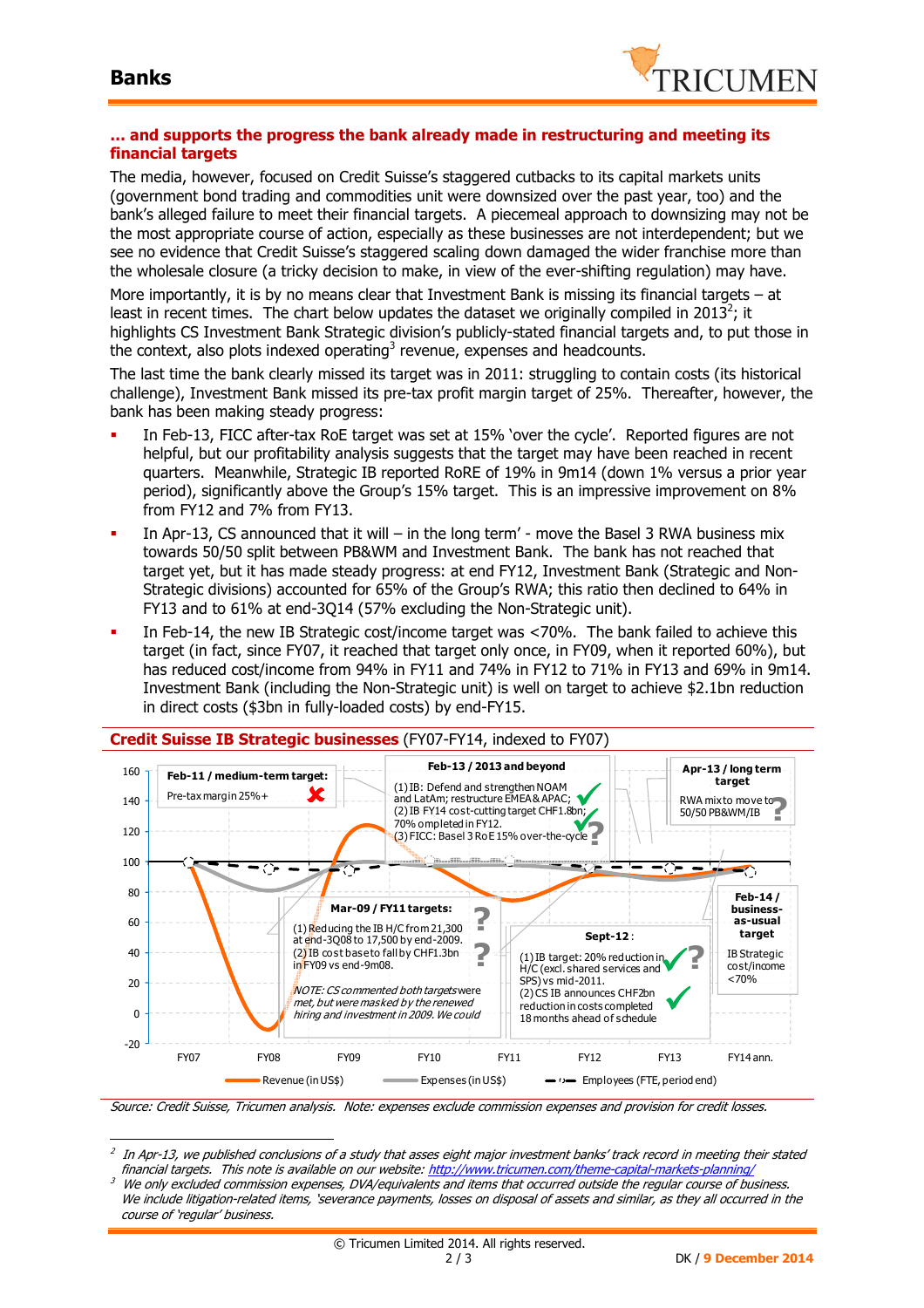$\overline{a}$ 



#### **… and supports the progress the bank already made in restructuring and meeting its financial targets**

The media, however, focused on Credit Suisse's staggered cutbacks to its capital markets units (government bond trading and commodities unit were downsized over the past year, too) and the bank's alleged failure to meet their financial targets. A piecemeal approach to downsizing may not be the most appropriate course of action, especially as these businesses are not interdependent; but we see no evidence that Credit Suisse's staggered scaling down damaged the wider franchise more than the wholesale closure (a tricky decision to make, in view of the ever-shifting regulation) may have.

More importantly, it is by no means clear that Investment Bank is missing its financial targets – at least in recent times. The chart below updates the dataset we originally compiled in 2013<sup>2</sup>; it highlights CS Investment Bank Strategic division's publicly-stated financial targets and, to put those in the context, also plots indexed operating<sup>3</sup> revenue, expenses and headcounts.

The last time the bank clearly missed its target was in 2011: struggling to contain costs (its historical challenge), Investment Bank missed its pre-tax profit margin target of 25%. Thereafter, however, the bank has been making steady progress:

- In Feb-13, FICC after-tax RoE target was set at 15% 'over the cycle'. Reported figures are not helpful, but our profitability analysis suggests that the target may have been reached in recent quarters. Meanwhile, Strategic IB reported RoRE of 19% in 9m14 (down 1% versus a prior year period), significantly above the Group's 15% target. This is an impressive improvement on 8% from FY12 and 7% from FY13.
- In Apr-13, CS announced that it will in the long term' move the Basel 3 RWA business mix towards 50/50 split between PB&WM and Investment Bank. The bank has not reached that target yet, but it has made steady progress: at end FY12, Investment Bank (Strategic and Non-Strategic divisions) accounted for 65% of the Group's RWA; this ratio then declined to 64% in FY13 and to 61% at end-3Q14 (57% excluding the Non-Strategic unit).
- In Feb-14, the new IB Strategic cost/income target was <70%. The bank failed to achieve this target (in fact, since FY07, it reached that target only once, in FY09, when it reported 60%), but has reduced cost/income from 94% in FY11 and 74% in FY12 to 71% in FY13 and 69% in 9m14. Investment Bank (including the Non-Strategic unit) is well on target to achieve \$2.1bn reduction in direct costs (\$3bn in fully-loaded costs) by end-FY15.



Source: Credit Suisse, Tricumen analysis. Note: expenses exclude commission expenses and provision for credit losses.

 $^2$  In Apr-13, we published conclusions of a study that asses eight major investment banks' track record in meeting their stated financial targets. This note is available on our website: http://www.tricumen.com/theme-capital-markets-planning/

<sup>3</sup> We only excluded commission expenses, DVA/equivalents and items that occurred outside the regular course of business. We include litigation-related items, 'severance payments, losses on disposal of assets and similar, as they all occurred in the course of 'regular' business.